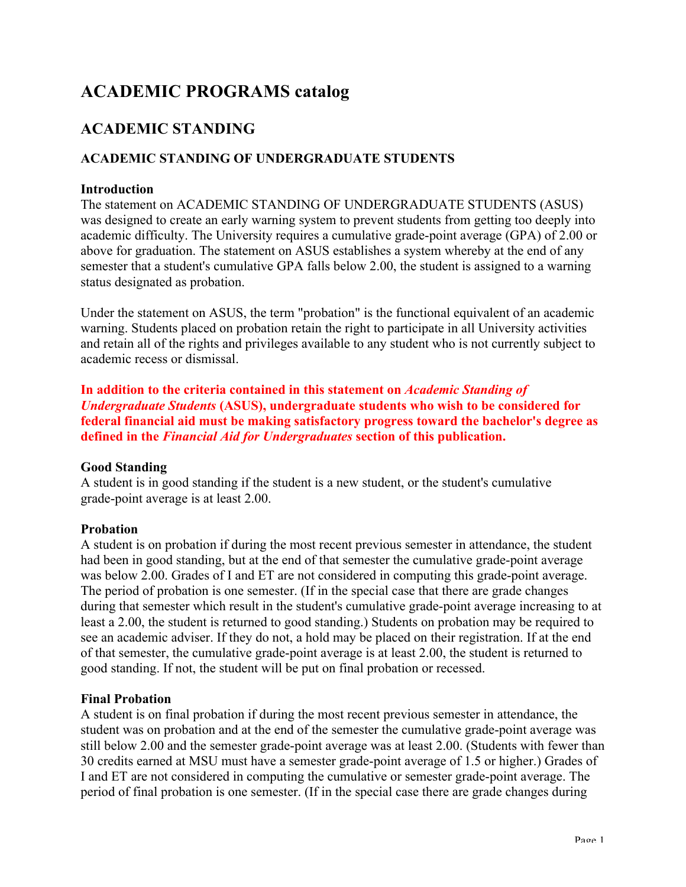# **ACADEMIC PROGRAMS catalog**

## **ACADEMIC STANDING**

### **ACADEMIC STANDING OF UNDERGRADUATE STUDENTS**

#### **Introduction**

The statement on ACADEMIC STANDING OF UNDERGRADUATE STUDENTS (ASUS) was designed to create an early warning system to prevent students from getting too deeply into academic difficulty. The University requires a cumulative grade-point average (GPA) of 2.00 or above for graduation. The statement on ASUS establishes a system whereby at the end of any semester that a student's cumulative GPA falls below 2.00, the student is assigned to a warning status designated as probation.

Under the statement on ASUS, the term "probation" is the functional equivalent of an academic warning. Students placed on probation retain the right to participate in all University activities and retain all of the rights and privileges available to any student who is not currently subject to academic recess or dismissal.

**In addition to the criteria contained in this statement on** *Academic Standing of Undergraduate Students* **(ASUS), undergraduate students who wish to be considered for federal financial aid must be making satisfactory progress toward the bachelor's degree as defined in the** *Financial Aid for Undergraduates* **section of this publication.**

#### **Good Standing**

A student is in good standing if the student is a new student, or the student's cumulative grade-point average is at least 2.00.

### **Probation**

A student is on probation if during the most recent previous semester in attendance, the student had been in good standing, but at the end of that semester the cumulative grade-point average was below 2.00. Grades of I and ET are not considered in computing this grade-point average. The period of probation is one semester. (If in the special case that there are grade changes during that semester which result in the student's cumulative grade-point average increasing to at least a 2.00, the student is returned to good standing.) Students on probation may be required to see an academic adviser. If they do not, a hold may be placed on their registration. If at the end of that semester, the cumulative grade-point average is at least 2.00, the student is returned to good standing. If not, the student will be put on final probation or recessed.

#### **Final Probation**

A student is on final probation if during the most recent previous semester in attendance, the student was on probation and at the end of the semester the cumulative grade-point average was still below 2.00 and the semester grade-point average was at least 2.00. (Students with fewer than 30 credits earned at MSU must have a semester grade-point average of 1.5 or higher.) Grades of I and ET are not considered in computing the cumulative or semester grade-point average. The period of final probation is one semester. (If in the special case there are grade changes during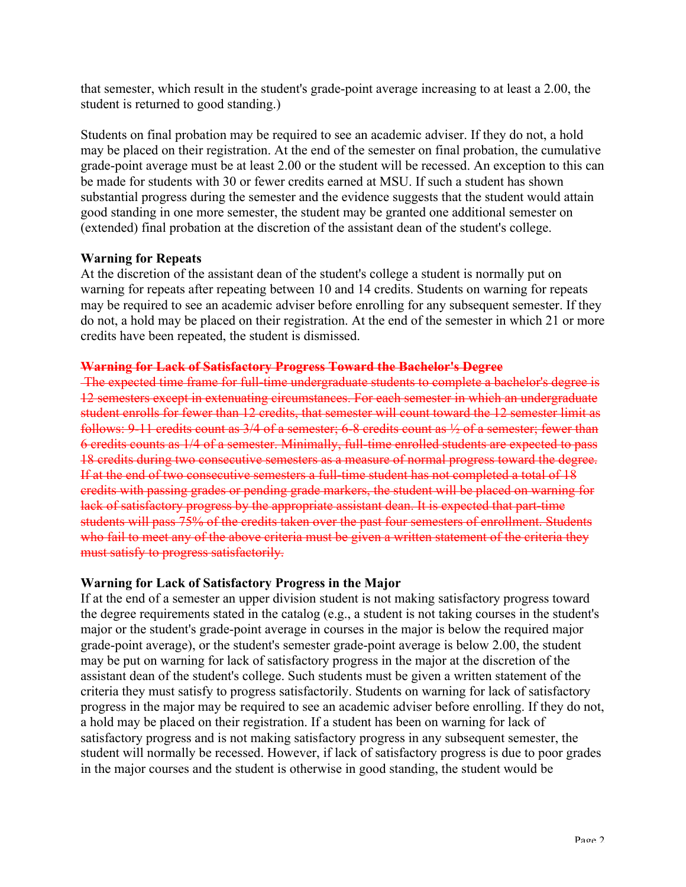that semester, which result in the student's grade-point average increasing to at least a 2.00, the student is returned to good standing.)

Students on final probation may be required to see an academic adviser. If they do not, a hold may be placed on their registration. At the end of the semester on final probation, the cumulative grade-point average must be at least 2.00 or the student will be recessed. An exception to this can be made for students with 30 or fewer credits earned at MSU. If such a student has shown substantial progress during the semester and the evidence suggests that the student would attain good standing in one more semester, the student may be granted one additional semester on (extended) final probation at the discretion of the assistant dean of the student's college.

#### **Warning for Repeats**

At the discretion of the assistant dean of the student's college a student is normally put on warning for repeats after repeating between 10 and 14 credits. Students on warning for repeats may be required to see an academic adviser before enrolling for any subsequent semester. If they do not, a hold may be placed on their registration. At the end of the semester in which 21 or more credits have been repeated, the student is dismissed.

#### **Warning for Lack of Satisfactory Progress Toward the Bachelor's Degree**

The expected time frame for full-time undergraduate students to complete a bachelor's degree is 12 semesters except in extenuating circumstances. For each semester in which an undergraduate student enrolls for fewer than 12 credits, that semester will count toward the 12 semester limit as follows: 9-11 credits count as 3/4 of a semester; 6-8 credits count as ½ of a semester; fewer than 6 credits counts as 1/4 of a semester. Minimally, full-time enrolled students are expected to pass 18 credits during two consecutive semesters as a measure of normal progress toward the degree. If at the end of two consecutive semesters a full-time student has not completed a total of 18 credits with passing grades or pending grade markers, the student will be placed on warning for lack of satisfactory progress by the appropriate assistant dean. It is expected that part-time students will pass 75% of the credits taken over the past four semesters of enrollment. Students who fail to meet any of the above criteria must be given a written statement of the criteria they must satisfy to progress satisfactorily.

#### **Warning for Lack of Satisfactory Progress in the Major**

If at the end of a semester an upper division student is not making satisfactory progress toward the degree requirements stated in the catalog (e.g., a student is not taking courses in the student's major or the student's grade-point average in courses in the major is below the required major grade-point average), or the student's semester grade-point average is below 2.00, the student may be put on warning for lack of satisfactory progress in the major at the discretion of the assistant dean of the student's college. Such students must be given a written statement of the criteria they must satisfy to progress satisfactorily. Students on warning for lack of satisfactory progress in the major may be required to see an academic adviser before enrolling. If they do not, a hold may be placed on their registration. If a student has been on warning for lack of satisfactory progress and is not making satisfactory progress in any subsequent semester, the student will normally be recessed. However, if lack of satisfactory progress is due to poor grades in the major courses and the student is otherwise in good standing, the student would be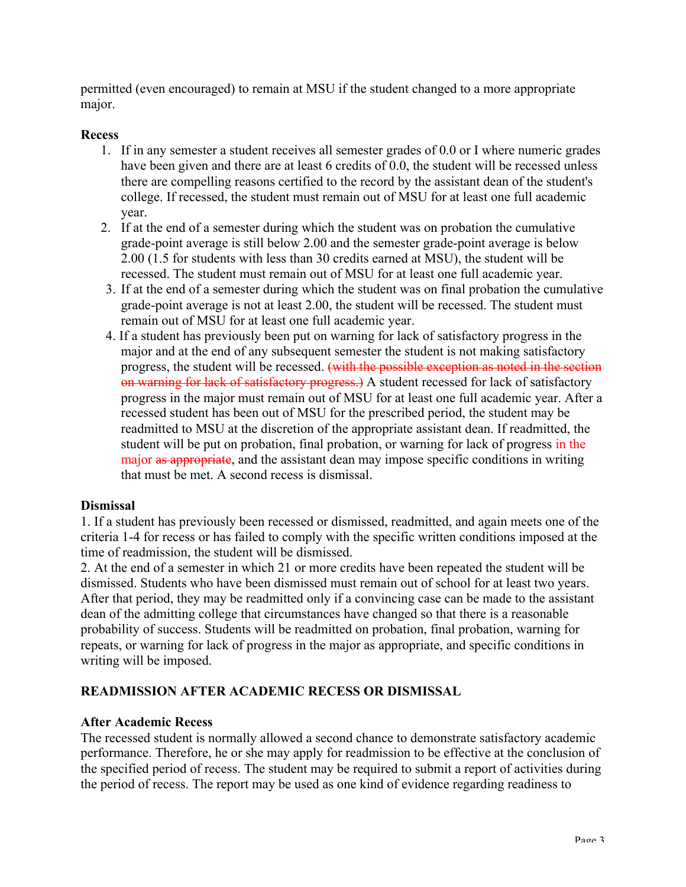permitted (even encouraged) to remain at MSU if the student changed to a more appropriate major.

#### **Recess**

- 1. If in any semester a student receives all semester grades of 0.0 or I where numeric grades have been given and there are at least 6 credits of 0.0, the student will be recessed unless there are compelling reasons certified to the record by the assistant dean of the student's college. If recessed, the student must remain out of MSU for at least one full academic year.
- 2. If at the end of a semester during which the student was on probation the cumulative grade-point average is still below 2.00 and the semester grade-point average is below 2.00 (1.5 for students with less than 30 credits earned at MSU), the student will be recessed. The student must remain out of MSU for at least one full academic year.
- 3. If at the end of a semester during which the student was on final probation the cumulative grade-point average is not at least 2.00, the student will be recessed. The student must remain out of MSU for at least one full academic year.
- 4. If a student has previously been put on warning for lack of satisfactory progress in the major and at the end of any subsequent semester the student is not making satisfactory progress, the student will be recessed. (with the possible exception as noted in the section on warning for lack of satisfactory progress.) A student recessed for lack of satisfactory progress in the major must remain out of MSU for at least one full academic year. After a recessed student has been out of MSU for the prescribed period, the student may be readmitted to MSU at the discretion of the appropriate assistant dean. If readmitted, the student will be put on probation, final probation, or warning for lack of progress in the major as appropriate, and the assistant dean may impose specific conditions in writing that must be met. A second recess is dismissal.

#### **Dismissal**

1. If a student has previously been recessed or dismissed, readmitted, and again meets one of the criteria 1-4 for recess or has failed to comply with the specific written conditions imposed at the time of readmission, the student will be dismissed.

2. At the end of a semester in which 21 or more credits have been repeated the student will be dismissed. Students who have been dismissed must remain out of school for at least two years. After that period, they may be readmitted only if a convincing case can be made to the assistant dean of the admitting college that circumstances have changed so that there is a reasonable probability of success. Students will be readmitted on probation, final probation, warning for repeats, or warning for lack of progress in the major as appropriate, and specific conditions in writing will be imposed.

### **READMISSION AFTER ACADEMIC RECESS OR DISMISSAL**

#### **After Academic Recess**

The recessed student is normally allowed a second chance to demonstrate satisfactory academic performance. Therefore, he or she may apply for readmission to be effective at the conclusion of the specified period of recess. The student may be required to submit a report of activities during the period of recess. The report may be used as one kind of evidence regarding readiness to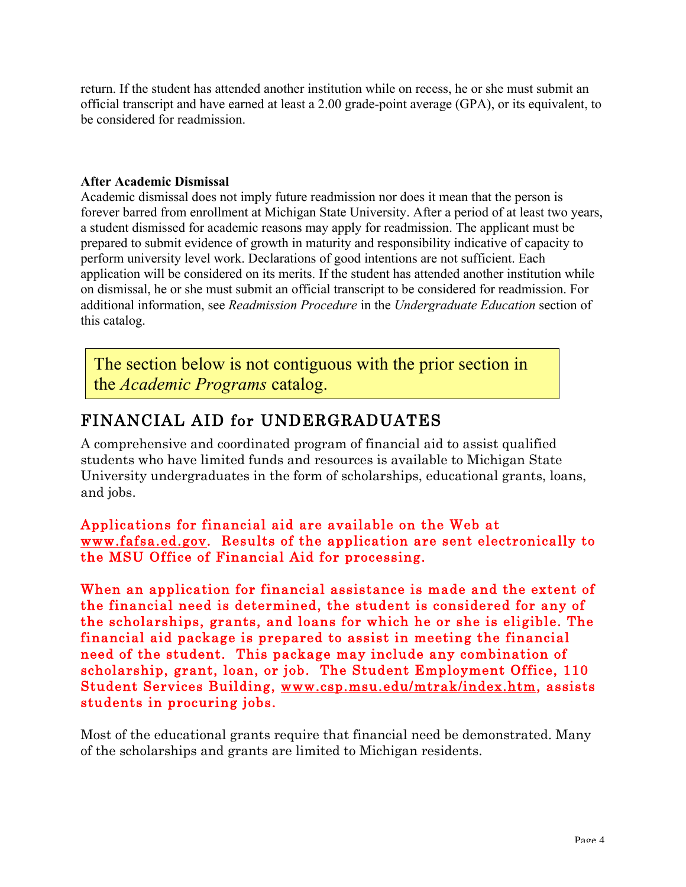return. If the student has attended another institution while on recess, he or she must submit an official transcript and have earned at least a 2.00 grade-point average (GPA), or its equivalent, to be considered for readmission.

#### **After Academic Dismissal**

Academic dismissal does not imply future readmission nor does it mean that the person is forever barred from enrollment at Michigan State University. After a period of at least two years, a student dismissed for academic reasons may apply for readmission. The applicant must be prepared to submit evidence of growth in maturity and responsibility indicative of capacity to perform university level work. Declarations of good intentions are not sufficient. Each application will be considered on its merits. If the student has attended another institution while on dismissal, he or she must submit an official transcript to be considered for readmission. For additional information, see *Readmission Procedure* in the *Undergraduate Education* section of this catalog.

The section below is not contiguous with the prior section in the *Academic Programs* catalog.

# FINANCIAL AID for UNDERGRADUATES

A comprehensive and coordinated program of financial aid to assist qualified students who have limited funds and resources is available to Michigan State University undergraduates in the form of scholarships, educational grants, loans, and jobs.

### Applications for financial aid are available on the Web at www.fafsa.ed.gov. Results of the application are sent electronically to the MSU Office of Financial Aid for processing.

When an application for financial assistance is made and the extent of the financial need is determined, the student is considered for any of the scholarships, grants, and loans for which he or she is eligible. The financial aid package is prepared to assist in meeting the financial need of the student. This package may include any combination of scholarship, grant, loan, or job. The Student Employment Office, 110 Student Services Building, www.csp.msu.edu/mtrak/index.htm, assists students in procuring jobs.

Most of the educational grants require that financial need be demonstrated. Many of the scholarships and grants are limited to Michigan residents.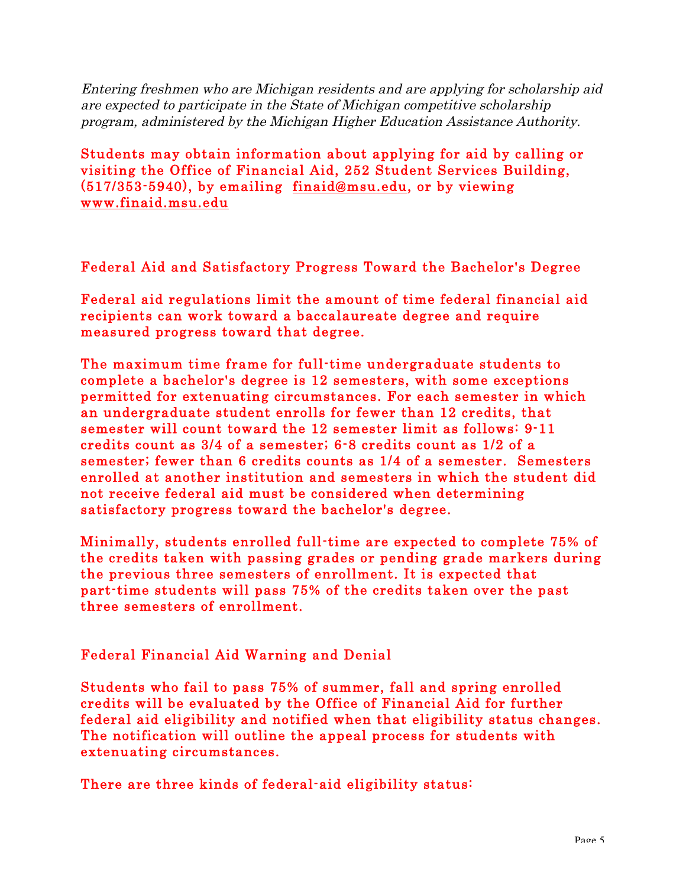Entering freshmen who are Michigan residents and are applying for scholarship aid are expected to participate in the State of Michigan competitive scholarship program, administered by the Michigan Higher Education Assistance Authority.

Students may obtain information about applying for aid by calling or visiting the Office of Financial Aid, 252 Student Services Building, (517/353-5940), by emailing finaid@msu.edu, or by viewing www.finaid.msu.edu

Federal Aid and Satisfactory Progress Toward the Bachelor's Degree

Federal aid regulations limit the amount of time federal financial aid recipients can work toward a baccalaureate degree and require measured progress toward that degree.

The maximum time frame for full-time undergraduate students to complete a bachelor's degree is 12 semesters, with some exceptions permitted for extenuating circumstances. For each semester in which an undergraduate student enrolls for fewer than 12 credits, that semester will count toward the 12 semester limit as follows: 9-11 credits count as 3/4 of a semester; 6-8 credits count as 1/2 of a semester; fewer than 6 credits counts as 1/4 of a semester. Semesters enrolled at another institution and semesters in which the student did not receive federal aid must be considered when determining satisfactory progress toward the bachelor's degree.

Minimally, students enrolled full-time are expected to complete 75% of the credits taken with passing grades or pending grade markers during the previous three semesters of enrollment. It is expected that part-time students will pass 75% of the credits taken over the past three semesters of enrollment.

## Federal Financial Aid Warning and Denial

Students who fail to pass 75% of summer, fall and spring enrolled credits will be evaluated by the Office of Financial Aid for further federal aid eligibility and notified when that eligibility status changes. The notification will outline the appeal process for students with extenuating circumstances.

There are three kinds of federal-aid eligibility status: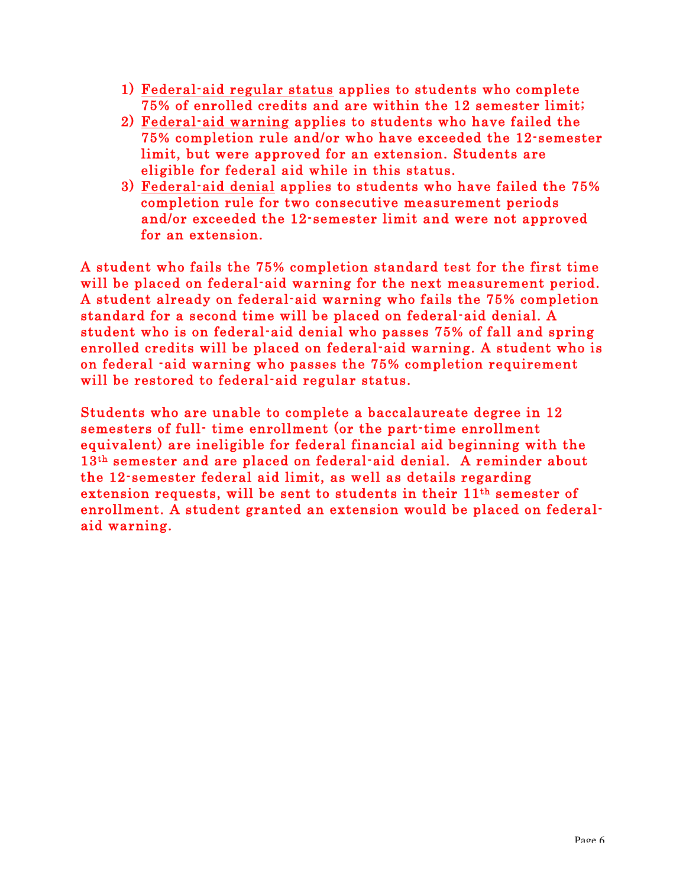- 1) Federal-aid regular status applies to students who complete 75% of enrolled credits and are within the 12 semester limit;
- 2) Federal-aid warning applies to students who have failed the 75% completion rule and/or who have exceeded the 12-semester limit, but were approved for an extension. Students are eligible for federal aid while in this status.
- 3) Federal-aid denial applies to students who have failed the 75% completion rule for two consecutive measurement periods and/or exceeded the 12-semester limit and were not approved for an extension.

A student who fails the 75% completion standard test for the first time will be placed on federal-aid warning for the next measurement period. A student already on federal-aid warning who fails the 75% completion standard for a second time will be placed on federal-aid denial. A student who is on federal-aid denial who passes 75% of fall and spring enrolled credits will be placed on federal-aid warning. A student who is on federal -aid warning who passes the 75% completion requirement will be restored to federal-aid regular status.

Students who are unable to complete a baccalaureate degree in 12 semesters of full- time enrollment (or the part-time enrollment equivalent) are ineligible for federal financial aid beginning with the 13th semester and are placed on federal-aid denial. A reminder about the 12-semester federal aid limit, as well as details regarding extension requests, will be sent to students in their 11th semester of enrollment. A student granted an extension would be placed on federalaid warning.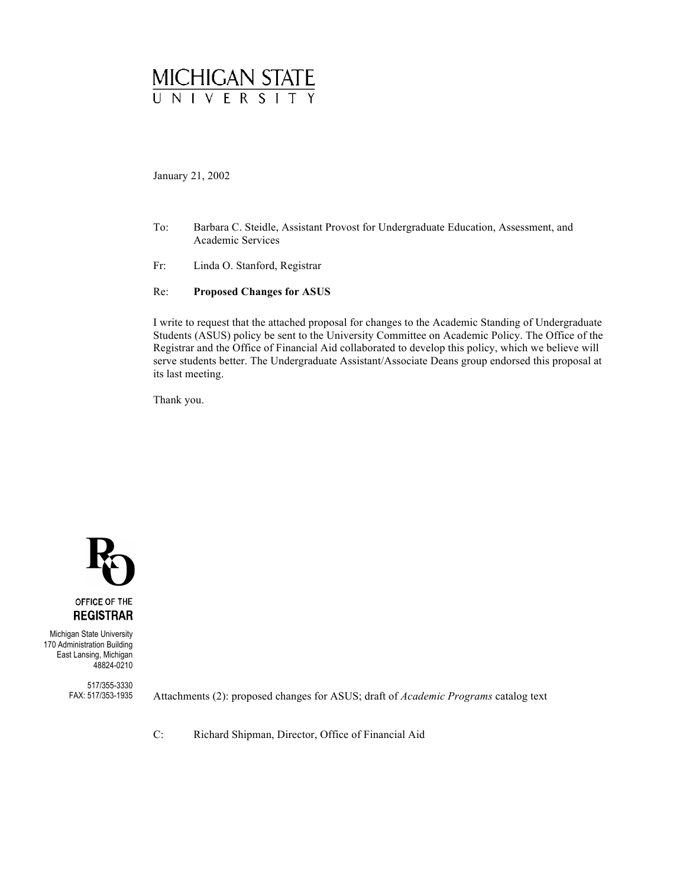

January 21, 2002

- To: Barbara C. Steidle, Assistant Provost for Undergraduate Education, Assessment, and Academic Services
- Fr: Linda O. Stanford, Registrar

#### Re: **Proposed Changes for ASUS**

I write to request that the attached proposal for changes to the Academic Standing of Undergraduate Students (ASUS) policy be sent to the University Committee on Academic Policy. The Office of the Registrar and the Office of Financial Aid collaborated to develop this policy, which we believe will serve students better. The Undergraduate Assistant/Associate Deans group endorsed this proposal at its last meeting.

Thank you.



Michigan State University 170 Administration Building East Lansing, Michigan 48824-0210

> 517/355-3330 FAX: 517/353-1935

Attachments (2): proposed changes for ASUS; draft of *Academic Programs* catalog text

C: Richard Shipman, Director, Office of Financial Aid